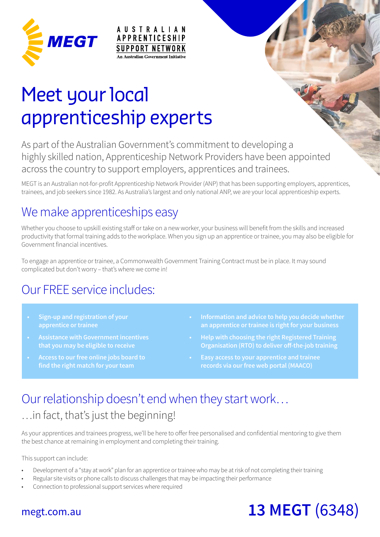

# Meet your local apprenticeship experts

**AUSTRALIAN** 

**APPRENTICESHIP SUPPORT NETWORK An Australian Government Initiative** 

As part of the Australian Government's commitment to developing a highly skilled nation, Apprenticeship Network Providers have been appointed across the country to support employers, apprentices and trainees.

MEGT is an Australian not-for-profit Apprenticeship Network Provider (ANP) that has been supporting employers, apprentices, trainees, and job seekers since 1982. As Australia's largest and only national ANP, we are your local apprenticeship experts.

# We make apprenticeships easy

Whether you choose to upskill existing staff or take on a new worker, your business will benefit from the skills and increased productivity that formal training adds to the workplace. When you sign up an apprentice or trainee, you may also be eligible for Government financial incentives.

To engage an apprentice or trainee, a Commonwealth Government Training Contract must be in place. It may sound complicated but don't worry – that's where we come in!

# Our FREE service includes:

- **Sign-up and registration of your apprentice or trainee**
- **that you may be eligible to receive**
- **find the right match for your team**
- **an apprentice or trainee is right for your business**
- **Help with choosing the right Registered Training Organisation (RTO) to deliver off-the-job training**
- **Easy access to your apprentice and trainee records via our free web portal (MAACO)**

# Our relationship doesn't end when they start work…

### … in fact, that's just the beginning!

As your apprentices and trainees progress, we'll be here to offer free personalised and confidential mentoring to give them the best chance at remaining in employment and completing their training.

This support can include:

- Development of a "stay at work" plan for an apprentice or trainee who may be at risk of not completing their training
- Regular site visits or phone calls to discuss challenges that may be impacting their performance
- Connection to professional support services where required